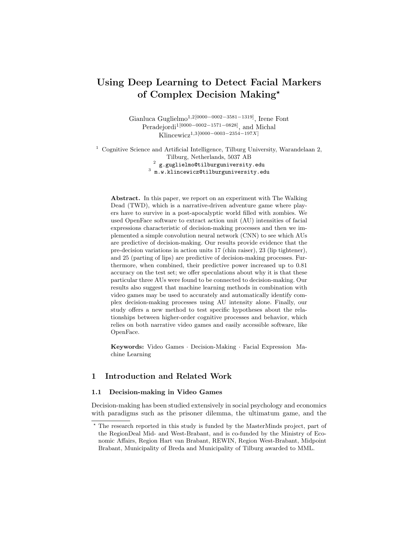# Using Deep Learning to Detect Facial Markers of Complex Decision Making?

Gianluca Guglielmo<sup>1,2[0000–0002–3581–1319]</sup>, Irene Font Peradejordi1[0000−0002−1571−0828], and Michal Klincewicz1,3[0000−0003−2354−197X]

 $^{\rm 1}$  Cognitive Science and Artificial Intelligence, Tilburg University, Warandelaan 2, Tilburg, Netherlands, 5037 AB

 $^2\,$  g.guglielmo@tilburguniversity.edu

 $^3$  m.w.klincewicz@tilburguniversity.edu

Abstract. In this paper, we report on an experiment with The Walking Dead (TWD), which is a narrative-driven adventure game where players have to survive in a post-apocalyptic world filled with zombies. We used OpenFace software to extract action unit (AU) intensities of facial expressions characteristic of decision-making processes and then we implemented a simple convolution neural network (CNN) to see which AUs are predictive of decision-making. Our results provide evidence that the pre-decision variations in action units 17 (chin raiser), 23 (lip tightener), and 25 (parting of lips) are predictive of decision-making processes. Furthermore, when combined, their predictive power increased up to 0.81 accuracy on the test set; we offer speculations about why it is that these particular three AUs were found to be connected to decision-making. Our results also suggest that machine learning methods in combination with video games may be used to accurately and automatically identify complex decision-making processes using AU intensity alone. Finally, our study offers a new method to test specific hypotheses about the relationships between higher-order cognitive processes and behavior, which relies on both narrative video games and easily accessible software, like OpenFace.

Keywords: Video Games · Decision-Making · Facial Expression Machine Learning

# 1 Introduction and Related Work

## 1.1 Decision-making in Video Games

Decision-making has been studied extensively in social psychology and economics with paradigms such as the prisoner dilemma, the ultimatum game, and the

<sup>?</sup> The research reported in this study is funded by the MasterMinds project, part of the RegionDeal Mid- and West-Brabant, and is co-funded by the Ministry of Economic Affairs, Region Hart van Brabant, REWIN, Region West-Brabant, Midpoint Brabant, Municipality of Breda and Municipality of Tilburg awarded to MML.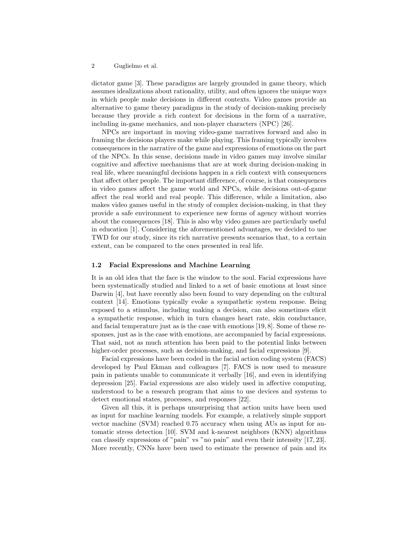dictator game [3]. These paradigms are largely grounded in game theory, which assumes idealizations about rationality, utility, and often ignores the unique ways in which people make decisions in different contexts. Video games provide an alternative to game theory paradigms in the study of decision-making precisely because they provide a rich context for decisions in the form of a narrative, including in-game mechanics, and non-player characters (NPC) [26].

NPCs are important in moving video-game narratives forward and also in framing the decisions players make while playing. This framing typically involves consequences in the narrative of the game and expressions of emotions on the part of the NPCs. In this sense, decisions made in video games may involve similar cognitive and affective mechanisms that are at work during decision-making in real life, where meaningful decisions happen in a rich context with consequences that affect other people. The important difference, of course, is that consequences in video games affect the game world and NPCs, while decisions out-of-game affect the real world and real people. This difference, while a limitation, also makes video games useful in the study of complex decision-making, in that they provide a safe environment to experience new forms of agency without worries about the consequences [18]. This is also why video games are particularly useful in education [1]. Considering the aforementioned advantages, we decided to use TWD for our study, since its rich narrative presents scenarios that, to a certain extent, can be compared to the ones presented in real life.

## 1.2 Facial Expressions and Machine Learning

It is an old idea that the face is the window to the soul. Facial expressions have been systematically studied and linked to a set of basic emotions at least since Darwin [4], but have recently also been found to vary depending on the cultural context [14]. Emotions typically evoke a sympathetic system response. Being exposed to a stimulus, including making a decision, can also sometimes elicit a sympathetic response, which in turn changes heart rate, skin conductance, and facial temperature just as is the case with emotions [19, 8]. Some of these responses, just as is the case with emotions, are accompanied by facial expressions. That said, not as much attention has been paid to the potential links between higher-order processes, such as decision-making, and facial expressions [9].

Facial expressions have been coded in the facial action coding system (FACS) developed by Paul Ekman and colleagues [7]. FACS is now used to measure pain in patients unable to communicate it verbally [16], and even in identifying depression [25]. Facial expressions are also widely used in affective computing, understood to be a research program that aims to use devices and systems to detect emotional states, processes, and responses [22].

Given all this, it is perhaps unsurprising that action units have been used as input for machine learning models. For example, a relatively simple support vector machine (SVM) reached 0.75 accuracy when using AUs as input for automatic stress detection [10]. SVM and k-nearest neighbors (KNN) algorithms can classify expressions of "pain" vs "no pain" and even their intensity [17, 23]. More recently, CNNs have been used to estimate the presence of pain and its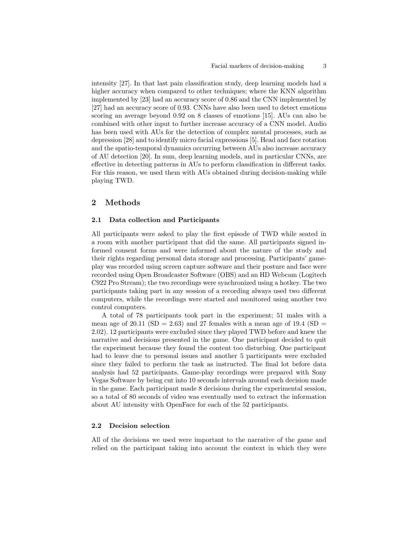intensity [27]. In that last pain classification study, deep learning models had a higher accuracy when compared to other techniques; where the KNN algorithm implemented by [23] had an accuracy score of 0.86 and the CNN implemented by [27] had an accuracy score of 0.93. CNNs have also been used to detect emotions scoring an average beyond 0.92 on 8 classes of emotions [15]. AUs can also be combined with other input to further increase accuracy of a CNN model. Audio has been used with AUs for the detection of complex mental processes, such as depression [28] and to identify micro facial expressions [5]. Head and face rotation and the spatio-temporal dynamics occurring between AUs also increase accuracy of AU detection [20]. In sum, deep learning models, and in particular CNNs, are effective in detecting patterns in AUs to perform classification in different tasks. For this reason, we used them with AUs obtained during decision-making while playing TWD.

## 2 Methods

## 2.1 Data collection and Participants

All participants were asked to play the first episode of TWD while seated in a room with another participant that did the same. All participants signed informed consent forms and were informed about the nature of the study and their rights regarding personal data storage and processing. Participants' gameplay was recorded using screen capture software and their posture and face were recorded using Open Broadcaster Software (OBS) and an HD Webcam (Logitech C922 Pro Stream); the two recordings were synchronized using a hotkey. The two participants taking part in any session of a recording always used two different computers, while the recordings were started and monitored using another two control computers.

A total of 78 participants took part in the experiment; 51 males with a mean age of 20.11 ( $SD = 2.63$ ) and 27 females with a mean age of 19.4 ( $SD =$ 2.02). 12 participants were excluded since they played TWD before and knew the narrative and decisions presented in the game. One participant decided to quit the experiment because they found the content too disturbing. One participant had to leave due to personal issues and another 5 participants were excluded since they failed to perform the task as instructed. The final lot before data analysis had 52 participants. Game-play recordings were prepared with Sony Vegas Software by being cut into 10 seconds intervals around each decision made in the game. Each participant made 8 decisions during the experimental session, so a total of 80 seconds of video was eventually used to extract the information about AU intensity with OpenFace for each of the 52 participants.

# 2.2 Decision selection

All of the decisions we used were important to the narrative of the game and relied on the participant taking into account the context in which they were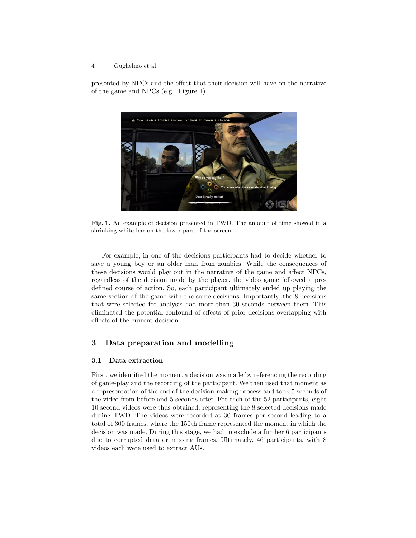presented by NPCs and the effect that their decision will have on the narrative of the game and NPCs (e.g., Figure 1).



Fig. 1. An example of decision presented in TWD. The amount of time showed in a shrinking white bar on the lower part of the screen.

For example, in one of the decisions participants had to decide whether to save a young boy or an older man from zombies. While the consequences of these decisions would play out in the narrative of the game and affect NPCs, regardless of the decision made by the player, the video game followed a predefined course of action. So, each participant ultimately ended up playing the same section of the game with the same decisions. Importantly, the 8 decisions that were selected for analysis had more than 30 seconds between them. This eliminated the potential confound of effects of prior decisions overlapping with effects of the current decision.

# 3 Data preparation and modelling

### 3.1 Data extraction

First, we identified the moment a decision was made by referencing the recording of game-play and the recording of the participant. We then used that moment as a representation of the end of the decision-making process and took 5 seconds of the video from before and 5 seconds after. For each of the 52 participants, eight 10 second videos were thus obtained, representing the 8 selected decisions made during TWD. The videos were recorded at 30 frames per second leading to a total of 300 frames, where the 150th frame represented the moment in which the decision was made. During this stage, we had to exclude a further 6 participants due to corrupted data or missing frames. Ultimately, 46 participants, with 8 videos each were used to extract AUs.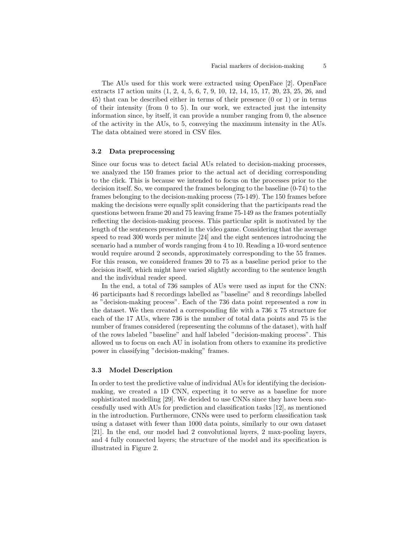The AUs used for this work were extracted using OpenFace [2]. OpenFace extracts 17 action units (1, 2, 4, 5, 6, 7, 9, 10, 12, 14, 15, 17, 20, 23, 25, 26, and 45) that can be described either in terms of their presence (0 or 1) or in terms of their intensity (from 0 to 5). In our work, we extracted just the intensity information since, by itself, it can provide a number ranging from 0, the absence of the activity in the AUs, to 5, conveying the maximum intensity in the AUs. The data obtained were stored in CSV files.

#### 3.2 Data preprocessing

Since our focus was to detect facial AUs related to decision-making processes, we analyzed the 150 frames prior to the actual act of deciding corresponding to the click. This is because we intended to focus on the processes prior to the decision itself. So, we compared the frames belonging to the baseline (0-74) to the frames belonging to the decision-making process (75-149). The 150 frames before making the decisions were equally split considering that the participants read the questions between frame 20 and 75 leaving frame 75-149 as the frames potentially reflecting the decision-making process. This particular split is motivated by the length of the sentences presented in the video game. Considering that the average speed to read 300 words per minute [24] and the eight sentences introducing the scenario had a number of words ranging from 4 to 10. Reading a 10-word sentence would require around 2 seconds, approximately corresponding to the 55 frames. For this reason, we considered frames 20 to 75 as a baseline period prior to the decision itself, which might have varied slightly according to the sentence length and the individual reader speed.

In the end, a total of 736 samples of AUs were used as input for the CNN: 46 participants had 8 recordings labelled as "baseline" and 8 recordings labelled as "decision-making process". Each of the 736 data point represented a row in the dataset. We then created a corresponding file with a 736 x 75 structure for each of the 17 AUs, where 736 is the number of total data points and 75 is the number of frames considered (representing the columns of the dataset), with half of the rows labeled "baseline" and half labeled "decision-making process". This allowed us to focus on each AU in isolation from others to examine its predictive power in classifying "decision-making" frames.

## 3.3 Model Description

In order to test the predictive value of individual AUs for identifying the decisionmaking, we created a 1D CNN, expecting it to serve as a baseline for more sophisticated modelling [29]. We decided to use CNNs since they have been successfully used with AUs for prediction and classification tasks [12], as mentioned in the introduction. Furthermore, CNNs were used to perform classification task using a dataset with fewer than 1000 data points, similarly to our own dataset [21]. In the end, our model had 2 convolutional layers, 2 max-pooling layers, and 4 fully connected layers; the structure of the model and its specification is illustrated in Figure 2.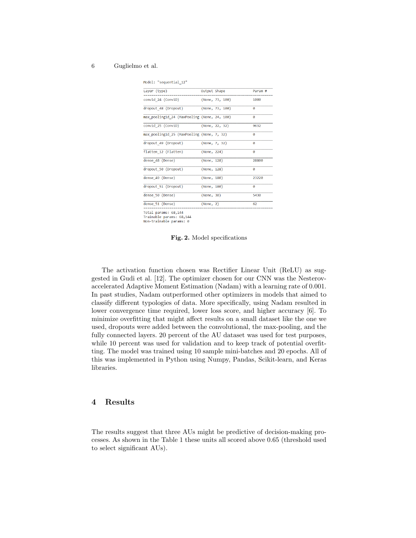Model: "sequential\_12"

| Layer (type)                                 | Output Shape |                 | Param #               |
|----------------------------------------------|--------------|-----------------|-----------------------|
| conv1d 24 (Conv1D)                           |              | (None, 73, 100) | 1000                  |
| dropout 48 (Dropout)                         |              | (None, 73, 100) | ø                     |
| max pooling1d 24 (MaxPooling (None, 24, 100) |              |                 | ø                     |
| conv1d 25 (Conv1D)                           |              | (None, 22, 32)  | 9632                  |
| max pooling1d 25 (MaxPooling (None, 7, 32)   |              |                 | $\boldsymbol{\theta}$ |
| dropout 49 (Dropout)                         |              | (None, 7, 32)   | 0                     |
| flatten 12 (Flatten)                         | (None, 224)  |                 | Ø                     |
| dense 48 (Dense)                             | (None, 128)  |                 | 28800                 |
| dropout 50 (Dropout)                         | (None, 128)  |                 | ø                     |
| dense 49 (Dense)                             | (None, 180)  |                 | 23220                 |
| dropout 51 (Dropout)                         | (None, 180)  |                 | Ø                     |
| dense 50 (Dense)                             | (None, 30)   |                 | 5430                  |
| dense 51 (Dense)                             | (None, 2)    |                 | 62                    |
|                                              |              |                 |                       |

Total params: 68,144<br>Trainable params: 68,144

Non-trainable params: 0

Fig. 2. Model specifications

The activation function chosen was Rectifier Linear Unit (ReLU) as suggested in Gudi et al. [12]. The optimizer chosen for our CNN was the Nesterovaccelerated Adaptive Moment Estimation (Nadam) with a learning rate of 0.001. In past studies, Nadam outperformed other optimizers in models that aimed to classify different typologies of data. More specifically, using Nadam resulted in lower convergence time required, lower loss score, and higher accuracy [6]. To minimize overfitting that might affect results on a small dataset like the one we used, dropouts were added between the convolutional, the max-pooling, and the fully connected layers. 20 percent of the AU dataset was used for test purposes, while 10 percent was used for validation and to keep track of potential overfitting. The model was trained using 10 sample mini-batches and 20 epochs. All of this was implemented in Python using Numpy, Pandas, Scikit-learn, and Keras libraries.

## 4 Results

The results suggest that three AUs might be predictive of decision-making processes. As shown in the Table 1 these units all scored above 0.65 (threshold used to select significant AUs).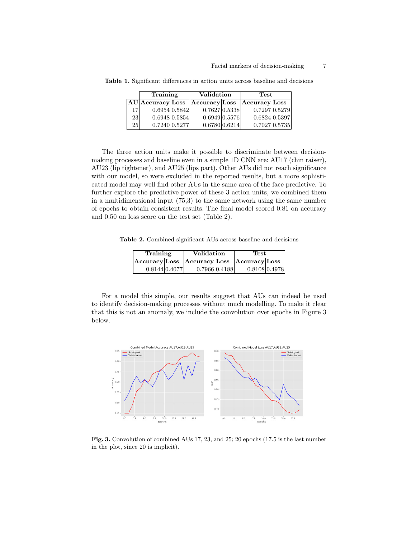|                 | Training            |  | <b>Validation</b> |  | Test          |  |
|-----------------|---------------------|--|-------------------|--|---------------|--|
|                 | $AU $ Accuracy Loss |  | Accuracy Loss     |  | Accuracy Loss |  |
| 171             | 0.6954 0.5842       |  | 0.7627 0.5338     |  | 0.7297 0.5279 |  |
| 23 <sup>1</sup> | 0.6948 0.5854       |  | 0.6949 0.5576     |  | 0.6824 0.5397 |  |
| 25 <sup>2</sup> | 0.7240 0.5277       |  | 0.6780 0.6214     |  | 0.7027 0.5735 |  |

Table 1. Significant differences in action units across baseline and decisions

The three action units make it possible to discriminate between decisionmaking processes and baseline even in a simple 1D CNN are: AU17 (chin raiser), AU23 (lip tightener), and AU25 (lips part). Other AUs did not reach significance with our model, so were excluded in the reported results, but a more sophisticated model may well find other AUs in the same area of the face predictive. To further explore the predictive power of these 3 action units, we combined them in a multidimensional input (75,3) to the same network using the same number of epochs to obtain consistent results. The final model scored 0.81 on accuracy and 0.50 on loss score on the test set (Table 2).

Table 2. Combined significant AUs across baseline and decisions

| Training                                  |               | Validation    |  | Test          |  |
|-------------------------------------------|---------------|---------------|--|---------------|--|
| Accuracy Loss Accuracy Loss Accuracy Loss |               |               |  |               |  |
|                                           | 0.8144 0.4077 | 0.7966 0.4188 |  | 0.8108 0.4978 |  |

For a model this simple, our results suggest that AUs can indeed be used to identify decision-making processes without much modelling. To make it clear that this is not an anomaly, we include the convolution over epochs in Figure 3 below.



Fig. 3. Convolution of combined AUs 17, 23, and 25; 20 epochs (17.5 is the last number in the plot, since 20 is implicit).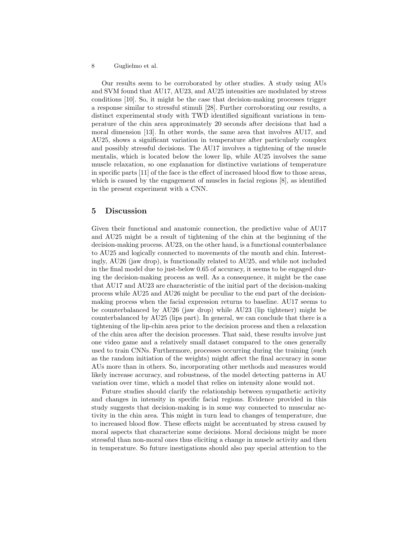Our results seem to be corroborated by other studies. A study using AUs and SVM found that AU17, AU23, and AU25 intensities are modulated by stress conditions [10]. So, it might be the case that decision-making processes trigger a response similar to stressful stimuli [28]. Further corroborating our results, a distinct experimental study with TWD identified significant variations in temperature of the chin area approximately 20 seconds after decisions that had a moral dimension [13]. In other words, the same area that involves AU17, and AU25, shows a significant variation in temperature after particularly complex and possibly stressful decisions. The AU17 involves a tightening of the muscle mentalis, which is located below the lower lip, while AU25 involves the same muscle relaxation, so one explanation for distinctive variations of temperature in specific parts [11] of the face is the effect of increased blood flow to those areas, which is caused by the engagement of muscles in facial regions [8], as identified in the present experiment with a CNN.

## 5 Discussion

Given their functional and anatomic connection, the predictive value of AU17 and AU25 might be a result of tightening of the chin at the beginning of the decision-making process. AU23, on the other hand, is a functional counterbalance to AU25 and logically connected to movements of the mouth and chin. Interestingly, AU26 (jaw drop), is functionally related to AU25, and while not included in the final model due to just-below 0.65 of accuracy, it seems to be engaged during the decision-making process as well. As a consequence, it might be the case that AU17 and AU23 are characteristic of the initial part of the decision-making process while AU25 and AU26 might be peculiar to the end part of the decisionmaking process when the facial expression returns to baseline. AU17 seems to be counterbalanced by AU26 (jaw drop) while AU23 (lip tightener) might be counterbalanced by AU25 (lips part). In general, we can conclude that there is a tightening of the lip-chin area prior to the decision process and then a relaxation of the chin area after the decision processes. That said, these results involve just one video game and a relatively small dataset compared to the ones generally used to train CNNs. Furthermore, processes occurring during the training (such as the random initiation of the weights) might affect the final accuracy in some AUs more than in others. So, incorporating other methods and measures would likely increase accuracy, and robustness, of the model detecting patterns in AU variation over time, which a model that relies on intensity alone would not.

Future studies should clarify the relationship between sympathetic activity and changes in intensity in specific facial regions. Evidence provided in this study suggests that decision-making is in some way connected to muscular activity in the chin area. This might in turn lead to changes of temperature, due to increased blood flow. These effects might be accentuated by stress caused by moral aspects that characterize some decisions. Moral decisions might be more stressful than non-moral ones thus eliciting a change in muscle activity and then in temperature. So future inestigations should also pay special attention to the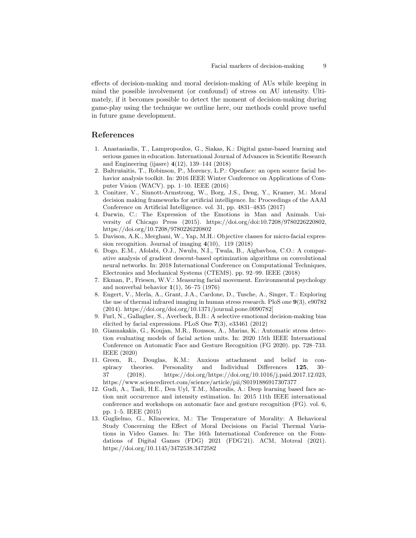effects of decision-making and moral decision-making of AUs while keeping in mind the possible involvement (or confound) of stress on AU intensity. Ultimately, if it becomes possible to detect the moment of decision-making during game-play using the technique we outline here, our methods could prove useful in future game development.

# References

- 1. Anastasiadis, T., Lampropoulos, G., Siakas, K.: Digital game-based learning and serious games in education. International Journal of Advances in Scientific Research and Engineering (ijasre) 4(12), 139–144 (2018)
- 2. Baltrušaitis, T., Robinson, P., Morency, L.P.: Openface: an open source facial behavior analysis toolkit. In: 2016 IEEE Winter Conference on Applications of Computer Vision (WACV). pp. 1–10. IEEE (2016)
- 3. Conitzer, V., Sinnott-Armstrong, W., Borg, J.S., Deng, Y., Kramer, M.: Moral decision making frameworks for artificial intelligence. In: Proceedings of the AAAI Conference on Artificial Intelligence. vol. 31, pp. 4831–4835 (2017)
- 4. Darwin, C.: The Expression of the Emotions in Man and Animals. University of Chicago Press (2015). https://doi.org/doi:10.7208/9780226220802, https://doi.org/10.7208/9780226220802
- 5. Davison, A.K., Merghani, W., Yap, M.H.: Objective classes for micro-facial expression recognition. Journal of imaging  $4(10)$ , 119 (2018)
- 6. Dogo, E.M., Afolabi, O.J., Nwulu, N.I., Twala, B., Aigbavboa, C.O.: A comparative analysis of gradient descent-based optimization algorithms on convolutional neural networks. In: 2018 International Conference on Computational Techniques, Electronics and Mechanical Systems (CTEMS). pp. 92–99. IEEE (2018)
- 7. Ekman, P., Friesen, W.V.: Measuring facial movement. Environmental psychology and nonverbal behavior  $1(1)$ , 56–75 (1976)
- 8. Engert, V., Merla, A., Grant, J.A., Cardone, D., Tusche, A., Singer, T.: Exploring the use of thermal infrared imaging in human stress research. PloS one 9(3), e90782 (2014). https://doi.org/doi.org/10.1371/journal.pone.0090782[
- 9. Furl, N., Gallagher, S., Averbeck, B.B.: A selective emotional decision-making bias elicited by facial expressions. PLoS One 7(3), e33461 (2012)
- 10. Giannakakis, G., Koujan, M.R., Roussos, A., Marias, K.: Automatic stress detection evaluating models of facial action units. In: 2020 15th IEEE International Conference on Automatic Face and Gesture Recognition (FG 2020). pp. 728–733. IEEE (2020)
- 11. Green, R., Douglas, K.M.: Anxious attachment and belief in conspiracy theories. Personality and Individual Differences 125, 30– 37 (2018). https://doi.org/https://doi.org/10.1016/j.paid.2017.12.023, https://www.sciencedirect.com/science/article/pii/S0191886917307377
- 12. Gudi, A., Tasli, H.E., Den Uyl, T.M., Maroulis, A.: Deep learning based facs action unit occurrence and intensity estimation. In: 2015 11th IEEE international conference and workshops on automatic face and gesture recognition (FG). vol. 6, pp. 1–5. IEEE (2015)
- 13. Guglielmo, G., Klincewicz, M.: The Temperature of Morality: A Behavioral Study Concerning the Effect of Moral Decisions on Facial Thermal Variations in Video Games. In: The 16th International Conference on the Foundations of Digital Games (FDG) 2021 (FDG'21). ACM, Motreal (2021). https://doi.org/10.1145/3472538.3472582